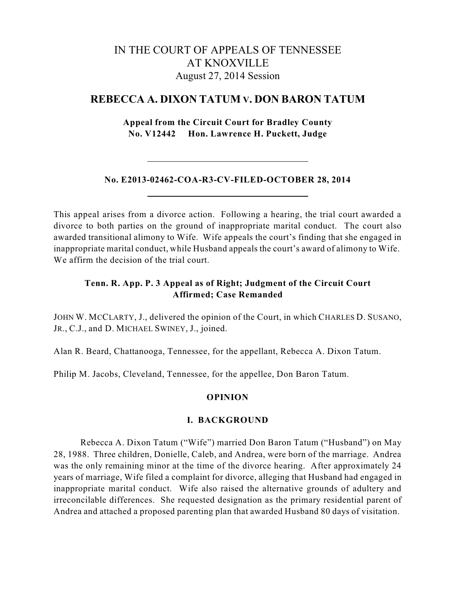# IN THE COURT OF APPEALS OF TENNESSEE AT KNOXVILLE August 27, 2014 Session

## **REBECCA A. DIXON TATUM V. DON BARON TATUM**

## **Appeal from the Circuit Court for Bradley County No. V12442 Hon. Lawrence H. Puckett, Judge**

## **No. E2013-02462-COA-R3-CV-FILED-OCTOBER 28, 2014**

This appeal arises from a divorce action. Following a hearing, the trial court awarded a divorce to both parties on the ground of inappropriate marital conduct. The court also awarded transitional alimony to Wife. Wife appeals the court's finding that she engaged in inappropriate marital conduct, while Husband appeals the court's award of alimony to Wife. We affirm the decision of the trial court.

## **Tenn. R. App. P. 3 Appeal as of Right; Judgment of the Circuit Court Affirmed; Case Remanded**

JOHN W. MCCLARTY, J., delivered the opinion of the Court, in which CHARLES D. SUSANO, JR., C.J., and D. MICHAEL SWINEY, J., joined.

Alan R. Beard, Chattanooga, Tennessee, for the appellant, Rebecca A. Dixon Tatum.

Philip M. Jacobs, Cleveland, Tennessee, for the appellee, Don Baron Tatum.

## **OPINION**

#### **I. BACKGROUND**

Rebecca A. Dixon Tatum ("Wife") married Don Baron Tatum ("Husband") on May 28, 1988. Three children, Donielle, Caleb, and Andrea, were born of the marriage. Andrea was the only remaining minor at the time of the divorce hearing. After approximately 24 years of marriage, Wife filed a complaint for divorce, alleging that Husband had engaged in inappropriate marital conduct. Wife also raised the alternative grounds of adultery and irreconcilable differences. She requested designation as the primary residential parent of Andrea and attached a proposed parenting plan that awarded Husband 80 days of visitation.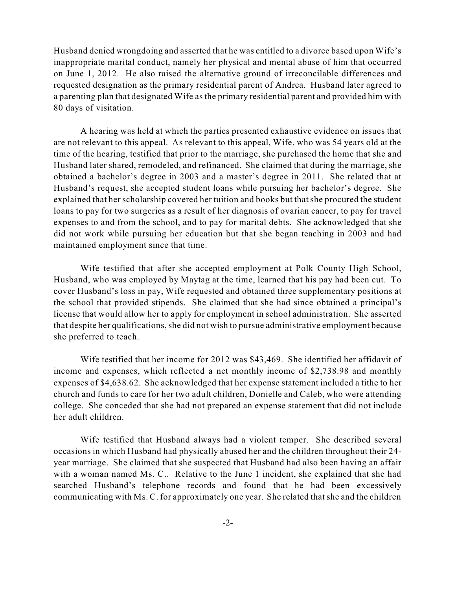Husband denied wrongdoing and asserted that he was entitled to a divorce based upon Wife's inappropriate marital conduct, namely her physical and mental abuse of him that occurred on June 1, 2012. He also raised the alternative ground of irreconcilable differences and requested designation as the primary residential parent of Andrea. Husband later agreed to a parenting plan that designated Wife as the primary residential parent and provided him with 80 days of visitation.

A hearing was held at which the parties presented exhaustive evidence on issues that are not relevant to this appeal. As relevant to this appeal, Wife, who was 54 years old at the time of the hearing, testified that prior to the marriage, she purchased the home that she and Husband later shared, remodeled, and refinanced. She claimed that during the marriage, she obtained a bachelor's degree in 2003 and a master's degree in 2011. She related that at Husband's request, she accepted student loans while pursuing her bachelor's degree. She explained that her scholarship covered her tuition and books but thatshe procured the student loans to pay for two surgeries as a result of her diagnosis of ovarian cancer, to pay for travel expenses to and from the school, and to pay for marital debts. She acknowledged that she did not work while pursuing her education but that she began teaching in 2003 and had maintained employment since that time.

Wife testified that after she accepted employment at Polk County High School, Husband, who was employed by Maytag at the time, learned that his pay had been cut. To cover Husband's loss in pay, Wife requested and obtained three supplementary positions at the school that provided stipends. She claimed that she had since obtained a principal's license that would allow her to apply for employment in school administration. She asserted that despite her qualifications, she did not wish to pursue administrative employment because she preferred to teach.

Wife testified that her income for 2012 was \$43,469. She identified her affidavit of income and expenses, which reflected a net monthly income of \$2,738.98 and monthly expenses of \$4,638.62. She acknowledged that her expense statement included a tithe to her church and funds to care for her two adult children, Donielle and Caleb, who were attending college. She conceded that she had not prepared an expense statement that did not include her adult children.

Wife testified that Husband always had a violent temper. She described several occasions in which Husband had physically abused her and the children throughout their 24 year marriage. She claimed that she suspected that Husband had also been having an affair with a woman named Ms. C.. Relative to the June 1 incident, she explained that she had searched Husband's telephone records and found that he had been excessively communicating with Ms. C. for approximately one year. She related that she and the children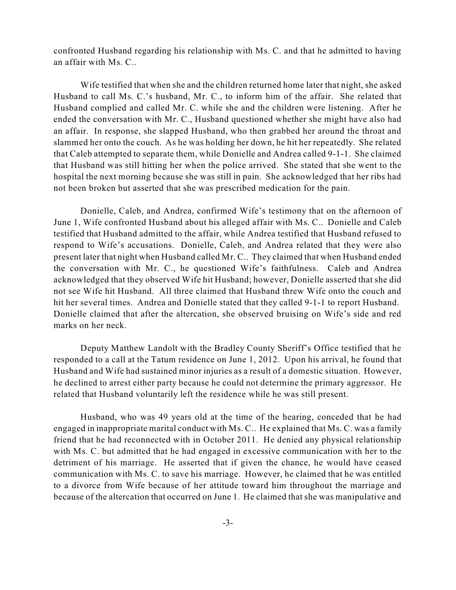confronted Husband regarding his relationship with Ms. C. and that he admitted to having an affair with Ms. C..

Wife testified that when she and the children returned home later that night, she asked Husband to call Ms. C.'s husband, Mr. C., to inform him of the affair. She related that Husband complied and called Mr. C. while she and the children were listening. After he ended the conversation with Mr. C., Husband questioned whether she might have also had an affair. In response, she slapped Husband, who then grabbed her around the throat and slammed her onto the couch. As he was holding her down, he hit her repeatedly. She related that Caleb attempted to separate them, while Donielle and Andrea called 9-1-1. She claimed that Husband was still hitting her when the police arrived. She stated that she went to the hospital the next morning because she was still in pain. She acknowledged that her ribs had not been broken but asserted that she was prescribed medication for the pain.

Donielle, Caleb, and Andrea, confirmed Wife's testimony that on the afternoon of June 1, Wife confronted Husband about his alleged affair with Ms. C.. Donielle and Caleb testified that Husband admitted to the affair, while Andrea testified that Husband refused to respond to Wife's accusations. Donielle, Caleb, and Andrea related that they were also present later that night when Husband called Mr. C.. They claimed that when Husband ended the conversation with Mr. C., he questioned Wife's faithfulness. Caleb and Andrea acknowledged that they observed Wife hit Husband; however, Donielle asserted that she did not see Wife hit Husband. All three claimed that Husband threw Wife onto the couch and hit her several times. Andrea and Donielle stated that they called 9-1-1 to report Husband. Donielle claimed that after the altercation, she observed bruising on Wife's side and red marks on her neck.

Deputy Matthew Landolt with the Bradley County Sheriff's Office testified that he responded to a call at the Tatum residence on June 1, 2012. Upon his arrival, he found that Husband and Wife had sustained minor injuries as a result of a domestic situation. However, he declined to arrest either party because he could not determine the primary aggressor. He related that Husband voluntarily left the residence while he was still present.

Husband, who was 49 years old at the time of the hearing, conceded that he had engaged in inappropriate marital conduct with Ms. C.. He explained that Ms. C. was a family friend that he had reconnected with in October 2011. He denied any physical relationship with Ms. C. but admitted that he had engaged in excessive communication with her to the detriment of his marriage. He asserted that if given the chance, he would have ceased communication with Ms. C. to save his marriage. However, he claimed that he was entitled to a divorce from Wife because of her attitude toward him throughout the marriage and because of the altercation that occurred on June 1. He claimed that she was manipulative and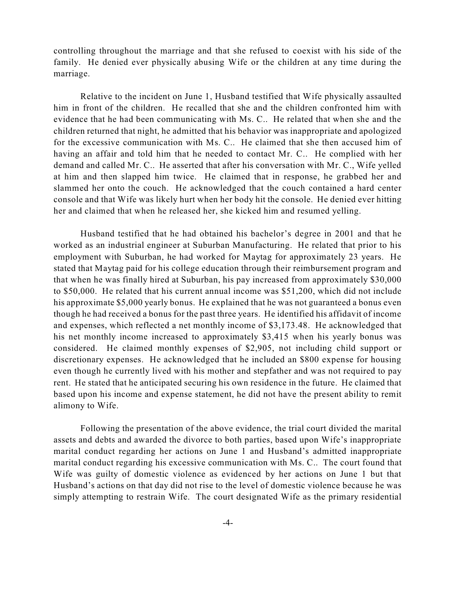controlling throughout the marriage and that she refused to coexist with his side of the family. He denied ever physically abusing Wife or the children at any time during the marriage.

Relative to the incident on June 1, Husband testified that Wife physically assaulted him in front of the children. He recalled that she and the children confronted him with evidence that he had been communicating with Ms. C.. He related that when she and the children returned that night, he admitted that his behavior was inappropriate and apologized for the excessive communication with Ms. C.. He claimed that she then accused him of having an affair and told him that he needed to contact Mr. C.. He complied with her demand and called Mr. C.. He asserted that after his conversation with Mr. C., Wife yelled at him and then slapped him twice. He claimed that in response, he grabbed her and slammed her onto the couch. He acknowledged that the couch contained a hard center console and that Wife was likely hurt when her body hit the console. He denied ever hitting her and claimed that when he released her, she kicked him and resumed yelling.

Husband testified that he had obtained his bachelor's degree in 2001 and that he worked as an industrial engineer at Suburban Manufacturing. He related that prior to his employment with Suburban, he had worked for Maytag for approximately 23 years. He stated that Maytag paid for his college education through their reimbursement program and that when he was finally hired at Suburban, his pay increased from approximately \$30,000 to \$50,000. He related that his current annual income was \$51,200, which did not include his approximate \$5,000 yearly bonus. He explained that he was not guaranteed a bonus even though he had received a bonus for the past three years. He identified his affidavit of income and expenses, which reflected a net monthly income of \$3,173.48. He acknowledged that his net monthly income increased to approximately \$3,415 when his yearly bonus was considered. He claimed monthly expenses of \$2,905, not including child support or discretionary expenses. He acknowledged that he included an \$800 expense for housing even though he currently lived with his mother and stepfather and was not required to pay rent. He stated that he anticipated securing his own residence in the future. He claimed that based upon his income and expense statement, he did not have the present ability to remit alimony to Wife.

Following the presentation of the above evidence, the trial court divided the marital assets and debts and awarded the divorce to both parties, based upon Wife's inappropriate marital conduct regarding her actions on June 1 and Husband's admitted inappropriate marital conduct regarding his excessive communication with Ms. C.. The court found that Wife was guilty of domestic violence as evidenced by her actions on June 1 but that Husband's actions on that day did not rise to the level of domestic violence because he was simply attempting to restrain Wife. The court designated Wife as the primary residential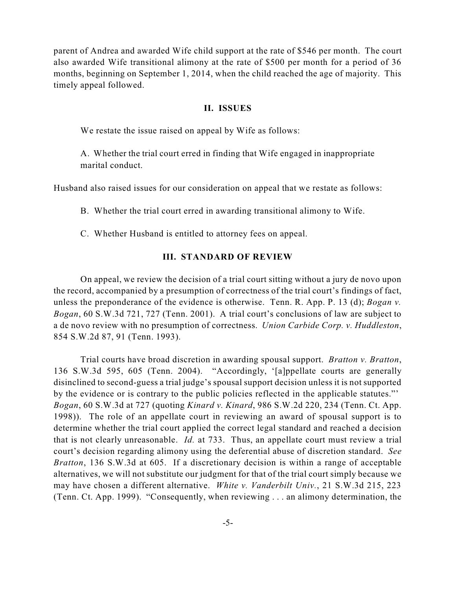parent of Andrea and awarded Wife child support at the rate of \$546 per month. The court also awarded Wife transitional alimony at the rate of \$500 per month for a period of 36 months, beginning on September 1, 2014, when the child reached the age of majority. This timely appeal followed.

#### **II. ISSUES**

We restate the issue raised on appeal by Wife as follows:

A. Whether the trial court erred in finding that Wife engaged in inappropriate marital conduct.

Husband also raised issues for our consideration on appeal that we restate as follows:

B. Whether the trial court erred in awarding transitional alimony to Wife.

C. Whether Husband is entitled to attorney fees on appeal.

#### **III. STANDARD OF REVIEW**

On appeal, we review the decision of a trial court sitting without a jury de novo upon the record, accompanied by a presumption of correctness of the trial court's findings of fact, unless the preponderance of the evidence is otherwise. Tenn. R. App. P. 13 (d); *Bogan v. Bogan*, 60 S.W.3d 721, 727 (Tenn. 2001). A trial court's conclusions of law are subject to a de novo review with no presumption of correctness. *Union Carbide Corp. v. Huddleston*, 854 S.W.2d 87, 91 (Tenn. 1993).

Trial courts have broad discretion in awarding spousal support. *Bratton v. Bratton*, 136 S.W.3d 595, 605 (Tenn. 2004). "Accordingly, '[a]ppellate courts are generally disinclined to second-guess a trial judge's spousal support decision unless it is not supported by the evidence or is contrary to the public policies reflected in the applicable statutes."' *Bogan*, 60 S.W.3d at 727 (quoting *Kinard v. Kinard*, 986 S.W.2d 220, 234 (Tenn. Ct. App. 1998)). The role of an appellate court in reviewing an award of spousal support is to determine whether the trial court applied the correct legal standard and reached a decision that is not clearly unreasonable. *Id.* at 733. Thus, an appellate court must review a trial court's decision regarding alimony using the deferential abuse of discretion standard. *See Bratton*, 136 S.W.3d at 605. If a discretionary decision is within a range of acceptable alternatives, we will not substitute our judgment for that of the trial court simply because we may have chosen a different alternative. *White v. Vanderbilt Univ.*, 21 S.W.3d 215, 223 (Tenn. Ct. App. 1999). "Consequently, when reviewing . . . an alimony determination, the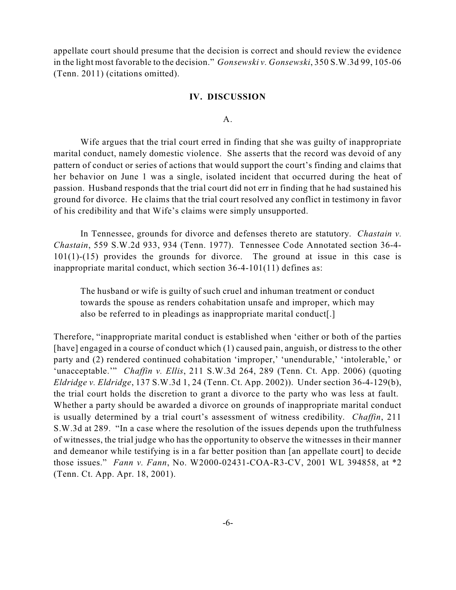appellate court should presume that the decision is correct and should review the evidence in the light most favorable to the decision." *Gonsewski v. Gonsewski*, 350 S.W.3d 99, 105-06 (Tenn. 2011) (citations omitted).

#### **IV. DISCUSSION**

A.

Wife argues that the trial court erred in finding that she was guilty of inappropriate marital conduct, namely domestic violence. She asserts that the record was devoid of any pattern of conduct or series of actions that would support the court's finding and claims that her behavior on June 1 was a single, isolated incident that occurred during the heat of passion. Husband responds that the trial court did not err in finding that he had sustained his ground for divorce. He claims that the trial court resolved any conflict in testimony in favor of his credibility and that Wife's claims were simply unsupported.

In Tennessee, grounds for divorce and defenses thereto are statutory. *Chastain v. Chastain*, 559 S.W.2d 933, 934 (Tenn. 1977). Tennessee Code Annotated section 36-4- 101(1)-(15) provides the grounds for divorce. The ground at issue in this case is inappropriate marital conduct, which section 36-4-101(11) defines as:

The husband or wife is guilty of such cruel and inhuman treatment or conduct towards the spouse as renders cohabitation unsafe and improper, which may also be referred to in pleadings as inappropriate marital conduct[.]

Therefore, "inappropriate marital conduct is established when 'either or both of the parties [have] engaged in a course of conduct which (1) caused pain, anguish, or distress to the other party and (2) rendered continued cohabitation 'improper,' 'unendurable,' 'intolerable,' or 'unacceptable.'" *Chaffin v. Ellis*, 211 S.W.3d 264, 289 (Tenn. Ct. App. 2006) (quoting *Eldridge v. Eldridge*, 137 S.W.3d 1, 24 (Tenn. Ct. App. 2002)). Under section 36-4-129(b), the trial court holds the discretion to grant a divorce to the party who was less at fault. Whether a party should be awarded a divorce on grounds of inappropriate marital conduct is usually determined by a trial court's assessment of witness credibility. *Chaffin*, 211 S.W.3d at 289. "In a case where the resolution of the issues depends upon the truthfulness of witnesses, the trial judge who has the opportunity to observe the witnesses in their manner and demeanor while testifying is in a far better position than [an appellate court] to decide those issues." *Fann v. Fann*, No. W2000-02431-COA-R3-CV, 2001 WL 394858, at \*2 (Tenn. Ct. App. Apr. 18, 2001).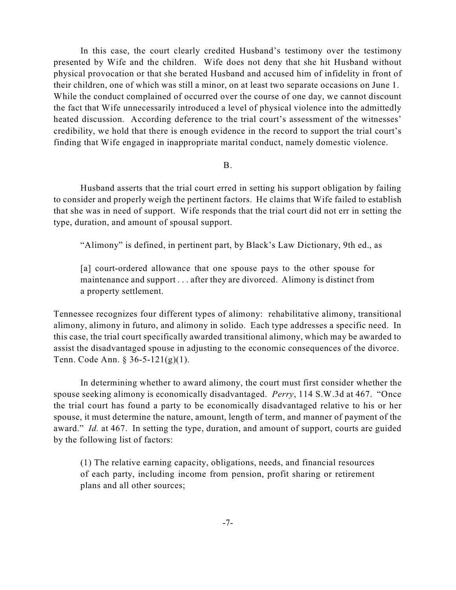In this case, the court clearly credited Husband's testimony over the testimony presented by Wife and the children. Wife does not deny that she hit Husband without physical provocation or that she berated Husband and accused him of infidelity in front of their children, one of which was still a minor, on at least two separate occasions on June 1. While the conduct complained of occurred over the course of one day, we cannot discount the fact that Wife unnecessarily introduced a level of physical violence into the admittedly heated discussion. According deference to the trial court's assessment of the witnesses' credibility, we hold that there is enough evidence in the record to support the trial court's finding that Wife engaged in inappropriate marital conduct, namely domestic violence.

#### B.

Husband asserts that the trial court erred in setting his support obligation by failing to consider and properly weigh the pertinent factors. He claims that Wife failed to establish that she was in need of support. Wife responds that the trial court did not err in setting the type, duration, and amount of spousal support.

"Alimony" is defined, in pertinent part, by Black's Law Dictionary, 9th ed., as

[a] court-ordered allowance that one spouse pays to the other spouse for maintenance and support . . . after they are divorced. Alimony is distinct from a property settlement.

Tennessee recognizes four different types of alimony: rehabilitative alimony, transitional alimony, alimony in futuro, and alimony in solido. Each type addresses a specific need. In this case, the trial court specifically awarded transitional alimony, which may be awarded to assist the disadvantaged spouse in adjusting to the economic consequences of the divorce. Tenn. Code Ann. § 36-5-121(g)(1).

In determining whether to award alimony, the court must first consider whether the spouse seeking alimony is economically disadvantaged. *Perry*, 114 S.W.3d at 467. "Once the trial court has found a party to be economically disadvantaged relative to his or her spouse, it must determine the nature, amount, length of term, and manner of payment of the award." *Id.* at 467. In setting the type, duration, and amount of support, courts are guided by the following list of factors:

(1) The relative earning capacity, obligations, needs, and financial resources of each party, including income from pension, profit sharing or retirement plans and all other sources;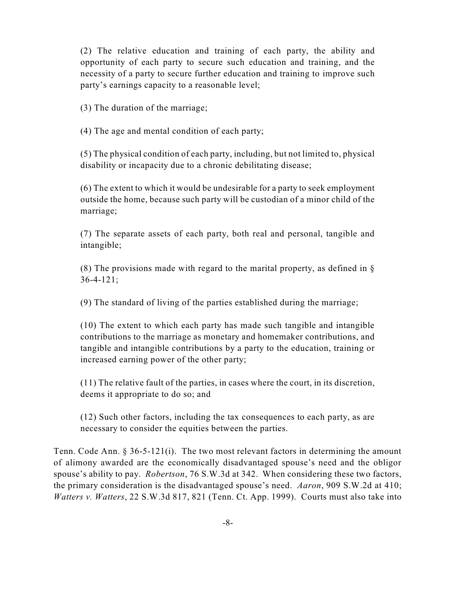(2) The relative education and training of each party, the ability and opportunity of each party to secure such education and training, and the necessity of a party to secure further education and training to improve such party's earnings capacity to a reasonable level;

(3) The duration of the marriage;

(4) The age and mental condition of each party;

(5) The physical condition of each party, including, but not limited to, physical disability or incapacity due to a chronic debilitating disease;

(6) The extent to which it would be undesirable for a party to seek employment outside the home, because such party will be custodian of a minor child of the marriage;

(7) The separate assets of each party, both real and personal, tangible and intangible;

(8) The provisions made with regard to the marital property, as defined in  $\S$ 36-4-121;

(9) The standard of living of the parties established during the marriage;

(10) The extent to which each party has made such tangible and intangible contributions to the marriage as monetary and homemaker contributions, and tangible and intangible contributions by a party to the education, training or increased earning power of the other party;

(11) The relative fault of the parties, in cases where the court, in its discretion, deems it appropriate to do so; and

(12) Such other factors, including the tax consequences to each party, as are necessary to consider the equities between the parties.

Tenn. Code Ann. § 36-5-121(i). The two most relevant factors in determining the amount of alimony awarded are the economically disadvantaged spouse's need and the obligor spouse's ability to pay. *Robertson*, 76 S.W.3d at 342. When considering these two factors, the primary consideration is the disadvantaged spouse's need. *Aaron*, 909 S.W.2d at 410; *Watters v. Watters*, 22 S.W.3d 817, 821 (Tenn. Ct. App. 1999). Courts must also take into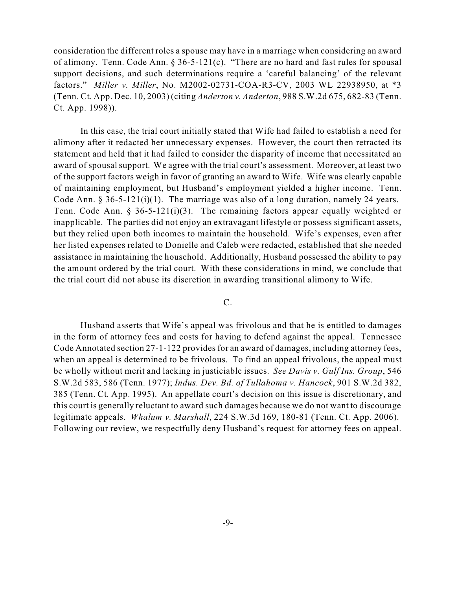consideration the different roles a spouse may have in a marriage when considering an award of alimony. Tenn. Code Ann. § 36-5-121(c). "There are no hard and fast rules for spousal support decisions, and such determinations require a 'careful balancing' of the relevant factors." *Miller v. Miller*, No. M2002-02731-COA-R3-CV, 2003 WL 22938950, at \*3 (Tenn. Ct. App. Dec. 10, 2003) (citing *Anderton v. Anderton*, 988 S.W.2d 675, 682-83 (Tenn. Ct. App. 1998)).

In this case, the trial court initially stated that Wife had failed to establish a need for alimony after it redacted her unnecessary expenses. However, the court then retracted its statement and held that it had failed to consider the disparity of income that necessitated an award of spousal support. We agree with the trial court's assessment. Moreover, at least two of the support factors weigh in favor of granting an award to Wife. Wife was clearly capable of maintaining employment, but Husband's employment yielded a higher income. Tenn. Code Ann.  $\S 36-5-121(i)(1)$ . The marriage was also of a long duration, namely 24 years. Tenn. Code Ann. § 36-5-121(i)(3). The remaining factors appear equally weighted or inapplicable. The parties did not enjoy an extravagant lifestyle or possess significant assets, but they relied upon both incomes to maintain the household. Wife's expenses, even after her listed expenses related to Donielle and Caleb were redacted, established that she needed assistance in maintaining the household. Additionally, Husband possessed the ability to pay the amount ordered by the trial court. With these considerations in mind, we conclude that the trial court did not abuse its discretion in awarding transitional alimony to Wife.

#### C.

Husband asserts that Wife's appeal was frivolous and that he is entitled to damages in the form of attorney fees and costs for having to defend against the appeal. Tennessee Code Annotated section 27-1-122 provides for an award of damages, including attorney fees, when an appeal is determined to be frivolous. To find an appeal frivolous, the appeal must be wholly without merit and lacking in justiciable issues. *See Davis v. Gulf Ins. Group*, 546 S.W.2d 583, 586 (Tenn. 1977); *Indus. Dev. Bd. of Tullahoma v. Hancock*, 901 S.W.2d 382, 385 (Tenn. Ct. App. 1995). An appellate court's decision on this issue is discretionary, and this court is generally reluctant to award such damages because we do not want to discourage legitimate appeals. *Whalum v. Marshall*, 224 S.W.3d 169, 180-81 (Tenn. Ct. App. 2006). Following our review, we respectfully deny Husband's request for attorney fees on appeal.